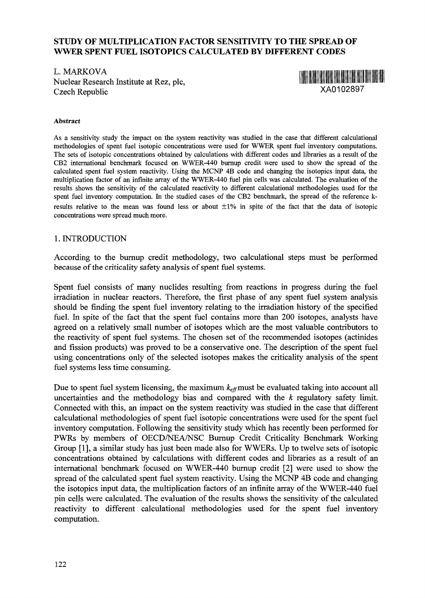## **STUDY OF MULTIPLICATION FACTOR SENSITIVITY TO THE SPREAD OF WWER SPENT FUEL ISOTOPICS CALCULATED BY DIFFERENT CODES**

L. MARKOVA Nuclear Research Institute at Rez, pic, Czech Republic



#### **Abstract**

As a sensitivity study the impact on the system reactivity was studied in the case that different calculational methodologies of spent fuel isotopic concentrations were used for WWER spent fuel inventory computations. The sets of isotopic concentrations obtained by calculations with different codes and libraries as a result of the CB2 international benchmark focused on WWER-440 burnup credit were used to show the spread of the calculated spent fuel system reactivity. Using the MCNP 4B code and changing the isotopics input data, the multiplication factor of an infinite array of the WWER-440 fuel pin cells was calculated. The evaluation of the results shows the sensitivity of the calculated reactivity to different calculational methodologies used for the spent fuel inventory computation. In the studied cases of the CB2 benchmark, the spread of the reference kresults relative to the mean was found less or about  $\pm 1$ % in spite of the fact that the data of isotopic concentrations were spread much more.

### 1. INTRODUCTION

According to the burnup credit methodology, two calculational steps must be performed because of the criticality safety analysis of spent fuel systems.

Spent fuel consists of many nuclides resulting from reactions in progress during the fuel irradiation in nuclear reactors. Therefore, the first phase of any spent fuel system analysis should be finding the spent fuel inventory relating to the irradiation history of the specified fuel. In spite of the fact that the spent fuel contains more than 200 isotopes, analysts have agreed on a relatively small number of isotopes which are the most valuable contributors to the reactivity of spent fuel systems. The chosen set of the recommended isotopes (actinides and fission products) was proved to be a conservative one. The description of the spent fuel using concentrations only of the selected isotopes makes the criticality analysis of the spent fuel systems less time consuming.

Due to spent fuel system licensing, the maximum  $k_{\text{eff}}$  must be evaluated taking into account all uncertainties and the methodology bias and compared with the *k* regulatory safety limit. Connected with this, an impact on the system reactivity was studied in the case that different calculational methodologies of spent fuel isotopic concentrations were used for the spent fuel inventory computation. Following the sensitivity study which has recently been performed for PWRs by members of OECD/NEA/NSC Burnup Credit Criticality Benchmark Working Group [1], a similar study has just been made also for WWERs. Up to twelve sets of isotopic concentrations obtained by calculations with different codes and libraries as a result of an international benchmark focused on WWER-440 burnup credit [2] were used to show the spread of the calculated spent fuel system reactivity. Using the MCNP 4B code and changing the isotopics input data, the multiplication factors of an infinite array of the WWER-440 fuel pin cells were calculated. The evaluation of the results shows the sensitivity of the calculated reactivity to different calculational methodologies used for the spent fuel inventory computation.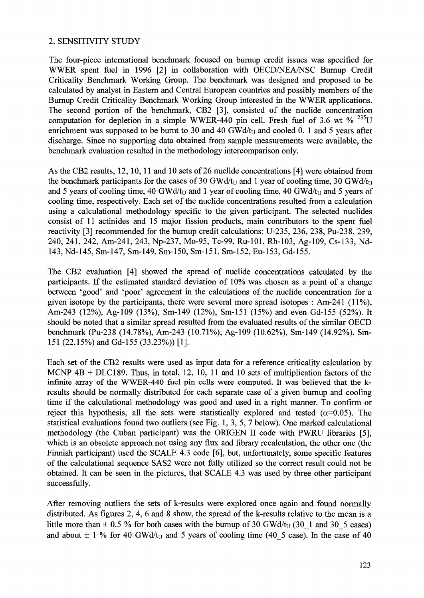#### 2. SENSITIVITY STUDY

The four-piece international benchmark focused on bumup credit issues was specified for WWER spent fuel in 1996 [2] in collaboration with OECD/NEA/NSC Bumup Credit Criticality Benchmark Working Group. The benchmark was designed and proposed to be calculated by analyst in Eastern and Central European countries and possibly members of the Burnup Credit Criticality Benchmark Working Group interested in the WWER applications. The second portion of the benchmark, CB2 [3], consisted of the nuclide concentration computation for depletion in a simple WWER-440 pin cell. Fresh fuel of 3.6 wt  $\%$ <sup>235</sup>U enrichment was supposed to be burnt to 30 and 40 GWd/ $t_{\text{U}}$  and cooled 0, 1 and 5 years after discharge. Since no supporting data obtained from sample measurements were available, the benchmark evaluation resulted in the methodology intercomparison only.

As the CB2 results, 12, 10,11 and 10 sets of 26 nuclide concentrations [4] were obtained from the benchmark participants for the cases of 30 GWd/t<sub>U</sub> and 1 year of cooling time, 30 GWd/t<sub>U</sub> and 5 years of cooling time, 40 GWd/t<sub>U</sub> and 1 year of cooling time, 40 GWd/t<sub>U</sub> and 5 years of cooling time, respectively. Each set of the nuclide concentrations resulted from a calculation using a calculational methodology specific to the given participant. The selected nuclides consist of 11 actinides and 15 major fission products, main contributors to the spent fuel reactivity [3] recommended for the burnup credit calculations: U-235, 236, 238, Pu-238, 239, 240, 241, 242, Am-241, 243, Np-237, Mo-95, Tc-99, Ru-101, Rh-103, Ag-109, Cs-133, Nd-143, Nd-145, Sm-147, Sm-149, Sm-150, Sm-151, Sm-152, Eu-153, Gd-155.

The CB2 evaluation [4] showed the spread of nuclide concentrations calculated by the participants. If the estimated standard deviation of 10% was chosen as a point of a change between 'good' and 'poor' agreement in the calculations of the nuclide concentration for a given isotope by the participants, there were several more spread isotopes : Am-241 (11%), Am-243 (12%), Ag-109 (13%), Sm-149 (12%), Sm-151 (15%) and even Gd-155 (52%). It should be noted that a similar spread resulted from the evaluated results of the similar OECD benchmark (Pu-238 (14.78%), Am-243 (10.71%), Ag-109 (10.62%), Sm-149 (14.92%), Sm-151 (22.15%) and Gd-155 (33.23%)) [1].

Each set of the CB2 results were used as input data for a reference criticality calculation by MCNP 4B + DLC189. Thus, in total, 12, 10, 11 and 10 sets of multiplication factors of the infinite array of the WWER-440 fuel pin cells were computed. It was believed that the kresults should be normally distributed for each separate case of a given burnup and cooling time if the calculational methodology was good and used in a right manner. To confirm or reject this hypothesis, all the sets were statistically explored and tested  $(\alpha=0.05)$ . The statistical evaluations found two outliers (see Fig. 1, 3, 5, 7 below). One marked calculational methodology (the Cuban participant) was the ORIGEN II code with PWRU libraries [5], which is an obsolete approach not using any flux and library recalculation, the other one (the Finnish participant) used the SCALE 4.3 code [6], but, unfortunately, some specific features of the calculational sequence SAS2 were not fully utilized so the correct result could not be obtained. It can be seen in the pictures, that SCALE 4.3 was used by three other participant successfully.

After removing outliers the sets of k-results were explored once again and found normally distributed. As figures 2, 4, 6 and 8 show, the spread of the k-results relative to the mean is a little more than  $\pm$  0.5 % for both cases with the burnup of 30 GWd/t<sub>U</sub> (30–1 and 30–5 cases) and about  $\pm$  1 % for 40 GWd/t<sub>U</sub> and 5 years of cooling time (40–5 case). In the case of 40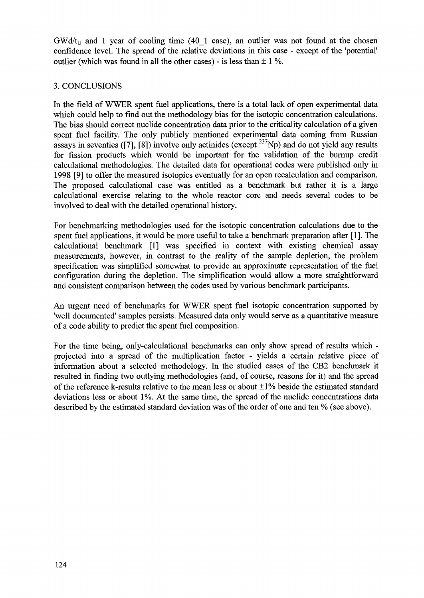$GWd/t_U$  and 1 year of cooling time (40–1 case), an outlier was not found at the chosen confidence level. The spread of the relative deviations in this case - except of the 'potential' outlier (which was found in all the other cases) - is less than  $\pm 1\%$ .

# 3. CONCLUSIONS

In the field of WWER spent fuel applications, there is a total lack of open experimental data which could help to find out the methodology bias for the isotopic concentration calculations. The bias should correct nuclide concentration data prior to the criticality calculation of a given spent fuel facility. The only publicly mentioned experimental data coming from Russian assays in seventies ([7], [8]) involve only actinides (except  $^{237}Np$ ) and do not yield any results for fission products which would be important for the validation of the burnup credit calculational methodologies. The detailed data for operational codes were published only in 1998 [9] to offer the measured isotopics eventually for an open recalculation and comparison. The proposed calculational case was entitled as a benchmark but rather it is a large calculational exercise relating to the whole reactor core and needs several codes to be involved to deal with the detailed operational history.

For benchmarking methodologies used for the isotopic concentration calculations due to the spent fuel applications, it would be more useful to take a benchmark preparation after [1]. The calculational benchmark [1] was specified in context with existing chemical assay measurements, however, in contrast to the reality of the sample depletion, the problem specification was simplified somewhat to provide an approximate representation of the fuel configuration during the depletion. The simplification would allow a more straightforward and consistent comparison between the codes used by various benchmark participants.

An urgent need of benchmarks for WWER spent fuel isotopic concentration supported by 'well documented' samples persists. Measured data only would serve as a quantitative measure of a code ability to predict the spent fuel composition.

For the time being, only-calculational benchmarks can only show spread of results which projected into a spread of the multiplication factor - yields a certain relative piece of information about a selected methodology, hi the studied cases of the CB2 benchmark it resulted in finding two outlying methodologies (and, of course, reasons for it) and the spread of the reference k-results relative to the mean less or about  $\pm 1\%$  beside the estimated standard deviations less or about 1%. At the same time, the spread of the nuclide concentrations data described by the estimated standard deviation was of the order of one and ten % (see above).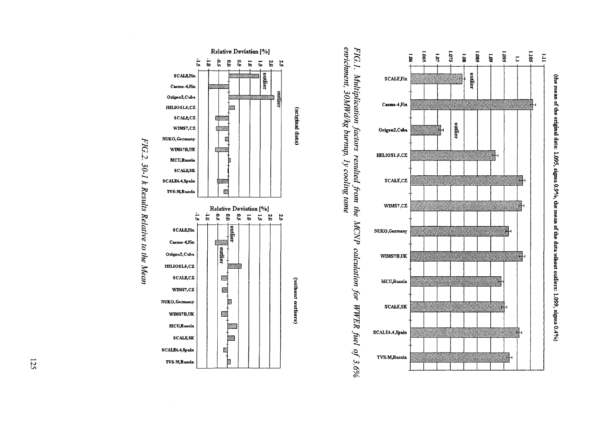



emichment, 30MWd/kg burnup, 1y cooling tome FIG.1. Multiplication factors resulted from the MCNP calculation for WWER fuel of 3.6%



FIG.2. 30-1 k Results Relative to the Mean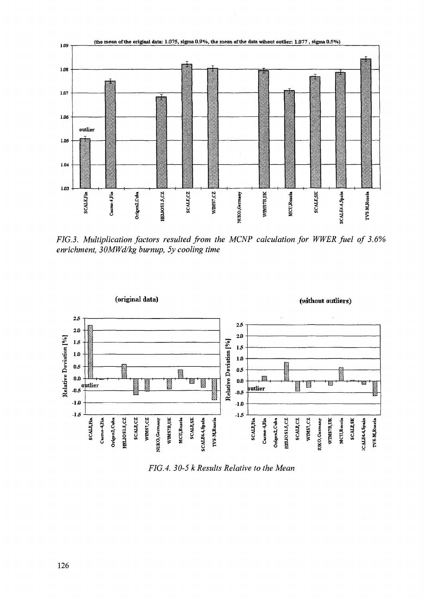

FIG.3. Multiplication factors resulted from the MCNP calculation for WWER fuel of 3.6% enrichment, 30MWd/kg burnup, 5y cooling time



FIG.4. 30-5 k Results Relative to the Mean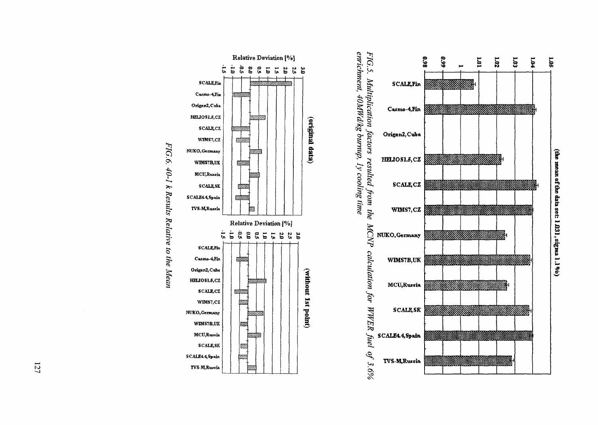

FIG.5. Multiplication factors resulted from the<br>enrichment, 40MWd/kg burnup, Iy cooling time MCNP calculation for WWER fuel of 3.6%



FIG.6. 40-1 k Results Relative to the Mean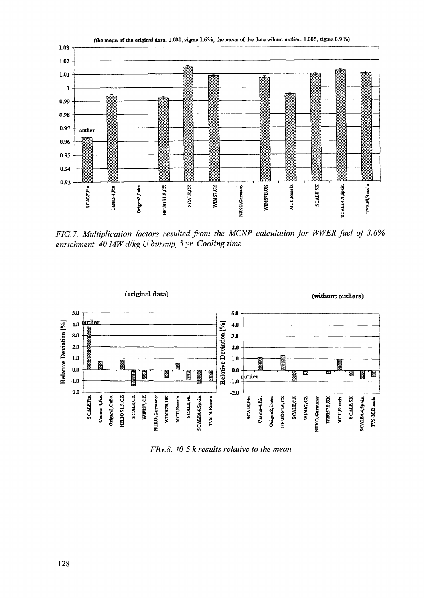

FIG.7. Multiplication factors resulted from the MCNP calculation for WWER fuel of 3.6% enrichment, 40 MW d/kg U burnup, 5 yr. Cooling time.



FIG.8. 40-5 k results relative to the mean.